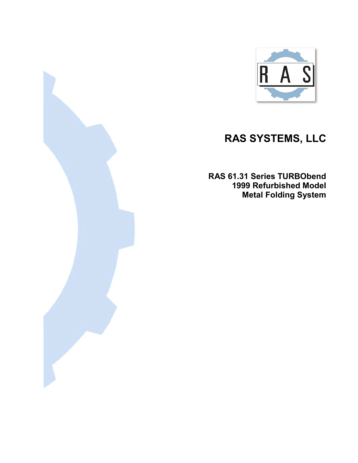

## **RAS SYSTEMS, LLC**

**RAS 61.31 Series TURBObend 1999 Refurbished Model Metal Folding System**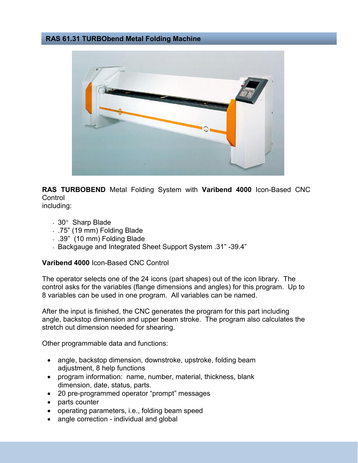## **RAS 61.31 TURBObend Metal Folding Machine**



**RAS TURBOBEND** Metal Folding System with **Varibend 4000** Icon-Based CNC **Control** including:

- 30° Sharp Blade
- .75" (19 mm) Folding Blade
- .39" (10 mm) Folding Blade
- Backgauge and Integrated Sheet Support System .31" -39.4"

## **Varibend 4000** Icon-Based CNC Control

The operator selects one of the 24 icons (part shapes) out of the icon library. The control asks for the variables (flange dimensions and angles) for this program. Up to 8 variables can be used in one program. All variables can be named.

After the input is finished, the CNC generates the program for this part including angle, backstop dimension and upper beam stroke. The program also calculates the stretch out dimension needed for shearing.

Other programmable data and functions:

- angle, backstop dimension, downstroke, upstroke, folding beam adjustment, 8 help functions
- program information: name, number, material, thickness, blank dimension, date, status, parts.
- 20 pre-programmed operator "prompt" messages
- parts counter
- operating parameters, i.e., folding beam speed
- angle correction individual and global